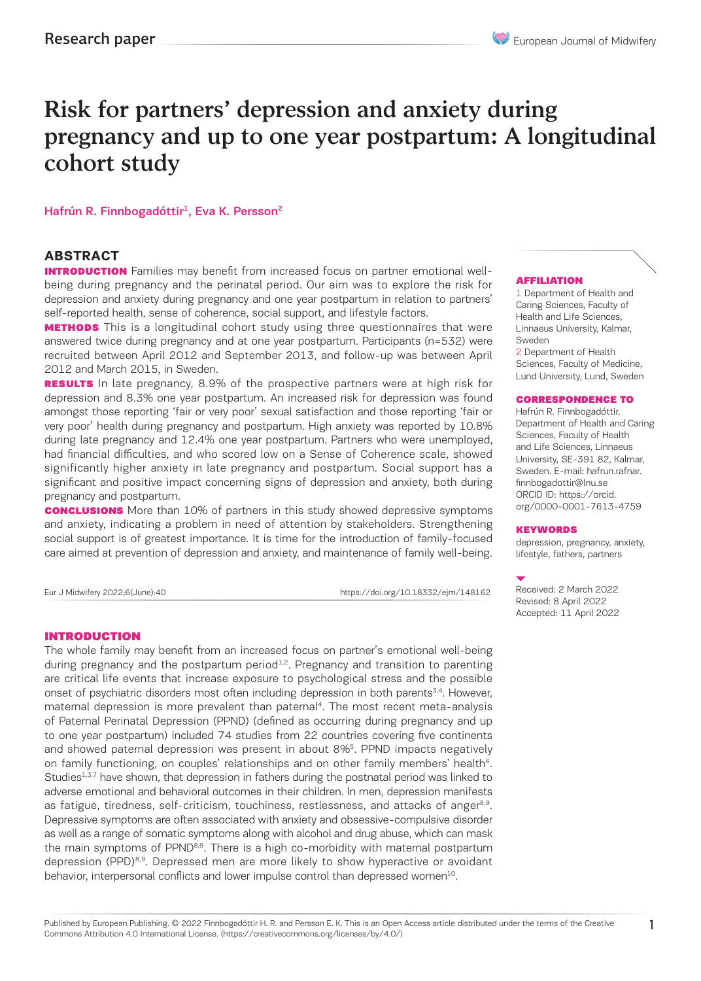# Risk for partners' depression and anxiety during pregnancy and up to one year postpartum: A longitudinal cohort study

Hafrún R. Finnbogadóttir<sup>1</sup>, Eva K. Persson<sup>2</sup>

## **ABSTRACT**

**INTRODUCTION** Families may benefit from increased focus on partner emotional wellbeing during pregnancy and the perinatal period. Our aim was to explore the risk for depression and anxiety during pregnancy and one year postpartum in relation to partners' self-reported health, sense of coherence, social support, and lifestyle factors.

**METHODS** This is a longitudinal cohort study using three questionnaires that were answered twice during pregnancy and at one year postpartum. Participants (n=532) were recruited between April 2012 and September 2013, and follow-up was between April 2012 and March 2015, in Sweden.

**RESULTS** In late pregnancy, 8.9% of the prospective partners were at high risk for depression and 8.3% one year postpartum. An increased risk for depression was found amongst those reporting 'fair or very poor' sexual satisfaction and those reporting 'fair or very poor' health during pregnancy and postpartum. High anxiety was reported by 10.8% during late pregnancy and 12.4% one year postpartum. Partners who were unemployed, had financial difficulties, and who scored low on a Sense of Coherence scale, showed significantly higher anxiety in late pregnancy and postpartum. Social support has a significant and positive impact concerning signs of depression and anxiety, both during pregnancy and postpartum.

**CONCLUSIONS** More than 10% of partners in this study showed depressive symptoms and anxiety, indicating a problem in need of attention by stakeholders. Strengthening social support is of greatest importance. It is time for the introduction of family-focused care aimed at prevention of depression and anxiety, and maintenance of family well-being.

Eur J Midwifery 2022;6(June):40 https://doi.org/10.18332/ejm/148162

#### INTRODUCTION

The whole family may benefit from an increased focus on partner's emotional well-being during pregnancy and the postpartum period $1.2$ . Pregnancy and transition to parenting are critical life events that increase exposure to psychological stress and the possible onset of psychiatric disorders most often including depression in both parents<sup>3,4</sup>. However, maternal depression is more prevalent than paternal<sup>4</sup>. The most recent meta-analysis of Paternal Perinatal Depression (PPND) (defined as occurring during pregnancy and up to one year postpartum) included 74 studies from 22 countries covering five continents and showed paternal depression was present in about 8%5. PPND impacts negatively on family functioning, on couples' relationships and on other family members' health<sup>6</sup>. Studies<sup>1,3,7</sup> have shown, that depression in fathers during the postnatal period was linked to adverse emotional and behavioral outcomes in their children. In men, depression manifests as fatigue, tiredness, self-criticism, touchiness, restlessness, and attacks of anger<sup>8,9</sup>. Depressive symptoms are often associated with anxiety and obsessive-compulsive disorder as well as a range of somatic symptoms along with alcohol and drug abuse, which can mask the main symptoms of PPND<sup>8,9</sup>. There is a high co-morbidity with maternal postpartum depression (PPD)<sup>8,9</sup>. Depressed men are more likely to show hyperactive or avoidant behavior, interpersonal conflicts and lower impulse control than depressed women<sup>10</sup>.

#### AFFILIATION

1 Department of Health and Caring Sciences, Faculty of Health and Life Sciences, Linnaeus University, Kalmar, Sweden

2 Department of Health Sciences, Faculty of Medicine, Lund University, Lund, Sweden

#### CORRESPONDENCE TO

Hafrún R. Finnbogadóttir. Department of Health and Caring Sciences, Faculty of Health and Life Sciences, Linnaeus University, SE-391 82, Kalmar, Sweden. Ε-mail: hafrun.rafnar. finnbogadottir@lnu.se ORCID ID: https://orcid. org/0000-0001-7613-4759

#### **KEYWORDS**

depression, pregnancy, anxiety, lifestyle, fathers, partners

Received: 2 March 2022 Revised: 8 April 2022 Accepted: 11 April 2022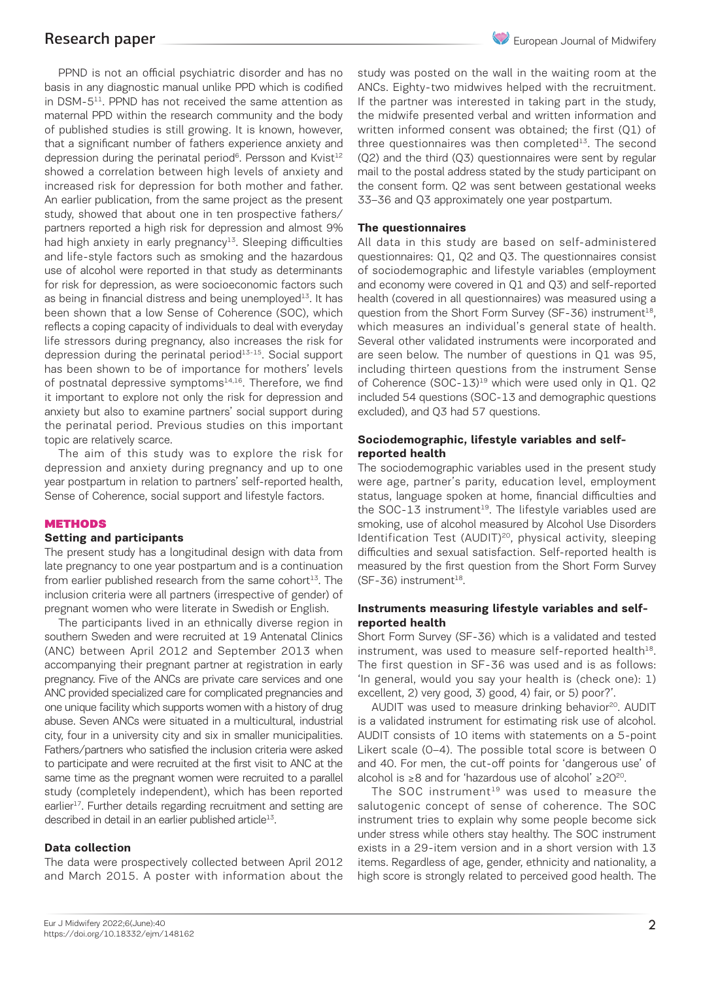PPND is not an official psychiatric disorder and has no basis in any diagnostic manual unlike PPD which is codified in DSM-511. PPND has not received the same attention as maternal PPD within the research community and the body of published studies is still growing. It is known, however, that a significant number of fathers experience anxiety and depression during the perinatal period<sup>6</sup>. Persson and Kvist<sup>12</sup> showed a correlation between high levels of anxiety and increased risk for depression for both mother and father. An earlier publication, from the same project as the present study, showed that about one in ten prospective fathers/ partners reported a high risk for depression and almost 9% had high anxiety in early pregnancy<sup>13</sup>. Sleeping difficulties and life-style factors such as smoking and the hazardous use of alcohol were reported in that study as determinants for risk for depression, as were socioeconomic factors such as being in financial distress and being unemployed<sup>13</sup>. It has been shown that a low Sense of Coherence (SOC), which reflects a coping capacity of individuals to deal with everyday life stressors during pregnancy, also increases the risk for depression during the perinatal period $13-15$ . Social support has been shown to be of importance for mothers' levels of postnatal depressive symptoms<sup>14,16</sup>. Therefore, we find it important to explore not only the risk for depression and anxiety but also to examine partners' social support during the perinatal period. Previous studies on this important topic are relatively scarce.

The aim of this study was to explore the risk for depression and anxiety during pregnancy and up to one year postpartum in relation to partners' self-reported health, Sense of Coherence, social support and lifestyle factors.

#### **METHODS**

#### **Setting and participants**

The present study has a longitudinal design with data from late pregnancy to one year postpartum and is a continuation from earlier published research from the same cohort $13$ . The inclusion criteria were all partners (irrespective of gender) of pregnant women who were literate in Swedish or English.

The participants lived in an ethnically diverse region in southern Sweden and were recruited at 19 Antenatal Clinics (ANC) between April 2012 and September 2013 when accompanying their pregnant partner at registration in early pregnancy. Five of the ANCs are private care services and one ANC provided specialized care for complicated pregnancies and one unique facility which supports women with a history of drug abuse. Seven ANCs were situated in a multicultural, industrial city, four in a university city and six in smaller municipalities. Fathers/partners who satisfied the inclusion criteria were asked to participate and were recruited at the first visit to ANC at the same time as the pregnant women were recruited to a parallel study (completely independent), which has been reported earlier<sup>17</sup>. Further details regarding recruitment and setting are described in detail in an earlier published article<sup>13</sup>.

#### **Data collection**

The data were prospectively collected between April 2012 and March 2015. A poster with information about the study was posted on the wall in the waiting room at the ANCs. Eighty-two midwives helped with the recruitment. If the partner was interested in taking part in the study, the midwife presented verbal and written information and written informed consent was obtained; the first (Q1) of three questionnaires was then completed $13$ . The second (Q2) and the third (Q3) questionnaires were sent by regular mail to the postal address stated by the study participant on the consent form. Q2 was sent between gestational weeks 33–36 and Q3 approximately one year postpartum.

#### **The questionnaires**

All data in this study are based on self-administered questionnaires: Q1, Q2 and Q3. The questionnaires consist of sociodemographic and lifestyle variables (employment and economy were covered in Q1 and Q3) and self-reported health (covered in all questionnaires) was measured using a question from the Short Form Survey (SF-36) instrument<sup>18</sup>, which measures an individual's general state of health. Several other validated instruments were incorporated and are seen below. The number of questions in Q1 was 95, including thirteen questions from the instrument Sense of Coherence (SOC-13)<sup>19</sup> which were used only in Q1. Q2 included 54 questions (SOC-13 and demographic questions excluded), and Q3 had 57 questions.

#### **Sociodemographic, lifestyle variables and selfreported health**

The sociodemographic variables used in the present study were age, partner's parity, education level, employment status, language spoken at home, financial difficulties and the SOC-13 instrument<sup>19</sup>. The lifestyle variables used are smoking, use of alcohol measured by Alcohol Use Disorders Identification Test (AUDIT)<sup>20</sup>, physical activity, sleeping difficulties and sexual satisfaction. Self-reported health is measured by the first question from the Short Form Survey  $(SF-36)$  instrument<sup>18</sup>.

#### **Instruments measuring lifestyle variables and selfreported health**

Short Form Survey (SF-36) which is a validated and tested instrument, was used to measure self-reported health $18$ . The first question in SF-36 was used and is as follows: 'In general, would you say your health is (check one): 1) excellent, 2) very good, 3) good, 4) fair, or 5) poor?'.

AUDIT was used to measure drinking behavior<sup>20</sup>. AUDIT is a validated instrument for estimating risk use of alcohol. AUDIT consists of 10 items with statements on a 5-point Likert scale (0–4). The possible total score is between 0 and 40. For men, the cut-off points for 'dangerous use' of alcohol is ≥8 and for 'hazardous use of alcohol' ≥2020.

The SOC instrument<sup>19</sup> was used to measure the salutogenic concept of sense of coherence. The SOC instrument tries to explain why some people become sick under stress while others stay healthy. The SOC instrument exists in a 29-item version and in a short version with 13 items. Regardless of age, gender, ethnicity and nationality, a high score is strongly related to perceived good health. The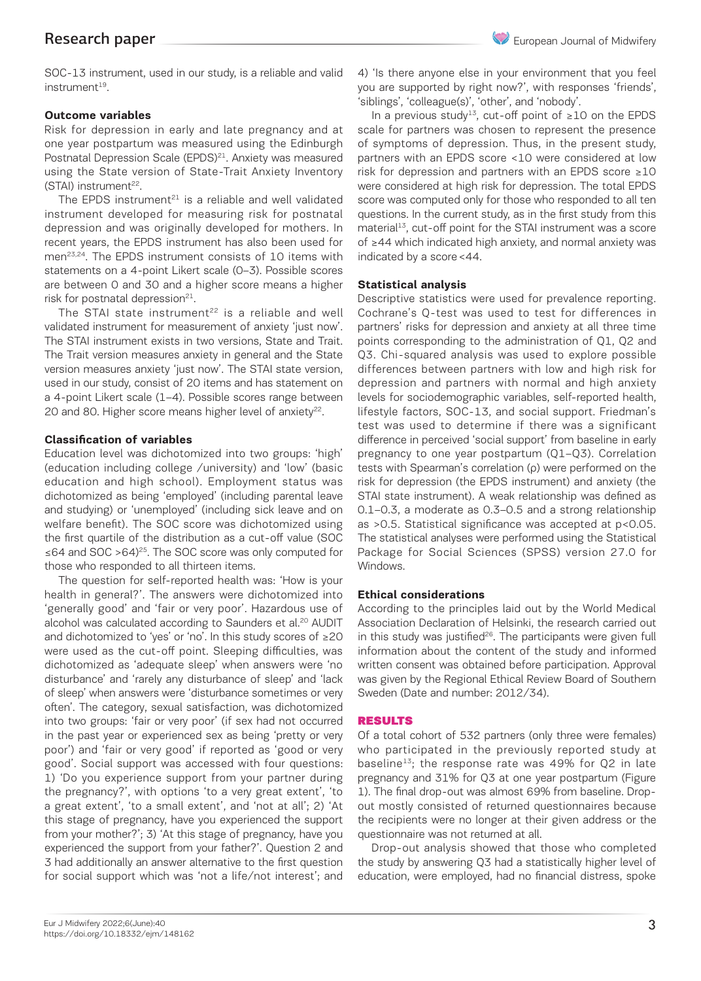European Journal of Midwifery

SOC-13 instrument, used in our study, is a reliable and valid instrument<sup>19</sup>.

## **Outcome variables**

Risk for depression in early and late pregnancy and at one year postpartum was measured using the Edinburgh Postnatal Depression Scale (EPDS)<sup>21</sup>. Anxiety was measured using the State version of State-Trait Anxiety Inventory  $(STAl)$  instrument<sup>22</sup>.

The EPDS instrument $21$  is a reliable and well validated instrument developed for measuring risk for postnatal depression and was originally developed for mothers. In recent years, the EPDS instrument has also been used for men<sup>23,24</sup>. The EPDS instrument consists of 10 items with statements on a 4-point Likert scale (0–3). Possible scores are between 0 and 30 and a higher score means a higher risk for postnatal depression $^{21}$ .

The STAI state instrument<sup>22</sup> is a reliable and well validated instrument for measurement of anxiety 'just now'. The STAI instrument exists in two versions, State and Trait. The Trait version measures anxiety in general and the State version measures anxiety 'just now'. The STAI state version, used in our study, consist of 20 items and has statement on a 4-point Likert scale (1–4). Possible scores range between 20 and 80. Higher score means higher level of anxiety<sup>22</sup>.

### **Classification of variables**

Education level was dichotomized into two groups: 'high' (education including college /university) and 'low' (basic education and high school). Employment status was dichotomized as being 'employed' (including parental leave and studying) or 'unemployed' (including sick leave and on welfare benefit). The SOC score was dichotomized using the first quartile of the distribution as a cut-off value (SOC ≤64 and SOC >64)25. The SOC score was only computed for those who responded to all thirteen items.

The question for self-reported health was: 'How is your health in general?'. The answers were dichotomized into 'generally good' and 'fair or very poor'. Hazardous use of alcohol was calculated according to Saunders et al.<sup>20</sup> AUDIT and dichotomized to 'yes' or 'no'. In this study scores of ≥20 were used as the cut-off point. Sleeping difficulties, was dichotomized as 'adequate sleep' when answers were 'no disturbance' and 'rarely any disturbance of sleep' and 'lack of sleep' when answers were 'disturbance sometimes or very often'. The category, sexual satisfaction, was dichotomized into two groups: 'fair or very poor' (if sex had not occurred in the past year or experienced sex as being 'pretty or very poor') and 'fair or very good' if reported as 'good or very good'. Social support was accessed with four questions: 1) 'Do you experience support from your partner during the pregnancy?', with options 'to a very great extent', 'to a great extent', 'to a small extent', and 'not at all'; 2) 'At this stage of pregnancy, have you experienced the support from your mother?'; 3) 'At this stage of pregnancy, have you experienced the support from your father?'. Question 2 and 3 had additionally an answer alternative to the first question for social support which was 'not a life/not interest'; and

4) 'Is there anyone else in your environment that you feel you are supported by right now?', with responses 'friends', 'siblings', 'colleague(s)', 'other', and 'nobody'.

In a previous study<sup>13</sup>, cut-off point of ≥10 on the EPDS scale for partners was chosen to represent the presence of symptoms of depression. Thus, in the present study, partners with an EPDS score <10 were considered at low risk for depression and partners with an EPDS score ≥10 were considered at high risk for depression. The total EPDS score was computed only for those who responded to all ten questions. In the current study, as in the first study from this material<sup>13</sup>, cut-off point for the STAI instrument was a score of ≥44 which indicated high anxiety, and normal anxiety was indicated by a score<44.

#### **Statistical analysis**

Descriptive statistics were used for prevalence reporting. Cochrane's Q-test was used to test for differences in partners' risks for depression and anxiety at all three time points corresponding to the administration of Q1, Q2 and Q3. Chi-squared analysis was used to explore possible differences between partners with low and high risk for depression and partners with normal and high anxiety levels for sociodemographic variables, self-reported health, lifestyle factors, SOC-13, and social support. Friedman's test was used to determine if there was a significant difference in perceived 'social support' from baseline in early pregnancy to one year postpartum (Q1–Q3). Correlation tests with Spearman's correlation (ρ) were performed on the risk for depression (the EPDS instrument) and anxiety (the STAI state instrument). A weak relationship was defined as 0.1–0.3, a moderate as 0.3–0.5 and a strong relationship as >0.5. Statistical significance was accepted at p<0.05. The statistical analyses were performed using the Statistical Package for Social Sciences (SPSS) version 27.0 for Windows.

#### **Ethical considerations**

According to the principles laid out by the World Medical Association Declaration of Helsinki, the research carried out in this study was justified $26$ . The participants were given full information about the content of the study and informed written consent was obtained before participation. Approval was given by the Regional Ethical Review Board of Southern Sweden (Date and number: 2012/34).

#### RESULTS

Of a total cohort of 532 partners (only three were females) who participated in the previously reported study at baseline<sup>13</sup>; the response rate was 49% for Q2 in late pregnancy and 31% for Q3 at one year postpartum (Figure 1). The final drop-out was almost 69% from baseline. Dropout mostly consisted of returned questionnaires because the recipients were no longer at their given address or the questionnaire was not returned at all.

Drop-out analysis showed that those who completed the study by answering Q3 had a statistically higher level of education, were employed, had no financial distress, spoke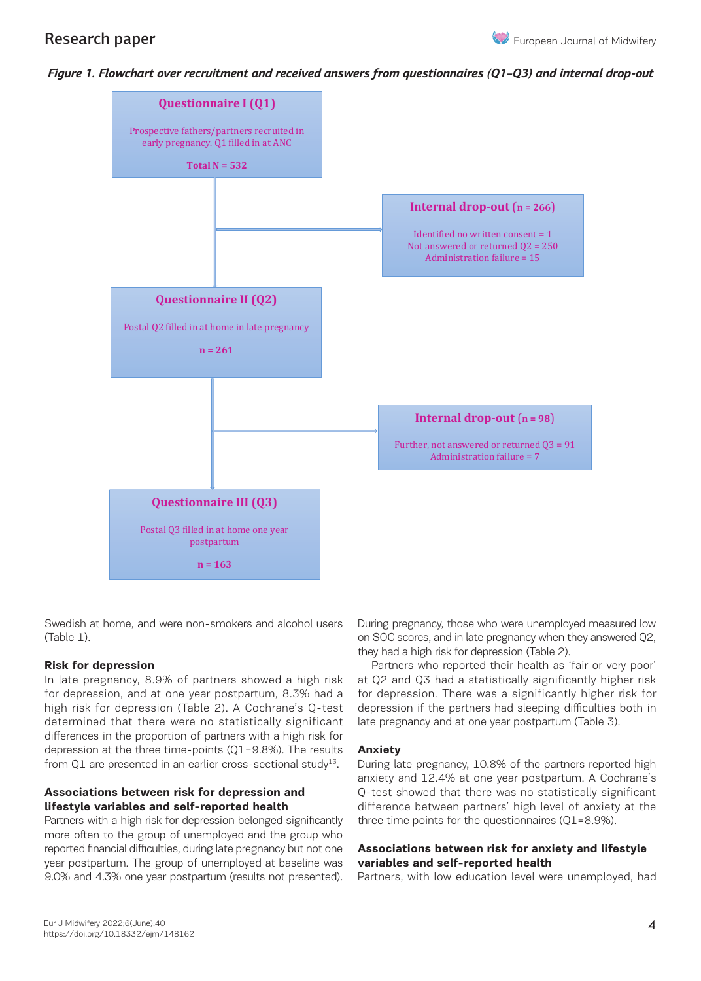

*Figure 1. Flowchart over recruitment and received answers from questionnaires (Q1–Q3) and internal drop-out and internal drop-out*

Swedish at home, and were non-smokers and alcohol users (Table 1).

#### **Risk for depression**

In late pregnancy, 8.9% of partners showed a high risk at Q2 and Q3 had a statistically significan for depression, and at one year postpartum, 8.3% had a or depression, and at one year pestpartam, e.e. is not depression. There we had a starting the starting of the starting of the starting of the starting in the starting of the partner determined that there were no statistically significant differences in the proportion of partners with a high risk for depression at the three time-points (Q1=9.8%). The results **Anxiety**<br>Cable 2. Sociole and partners who remained and partners who remained and partners who remained and partners who from Q1 are presented in an earlier cross-sectional study $13$ .

#### **Associations between risk for depression and lifestyle variables and self-reported health Characteristics Total Drop-out**

Partners with a high risk for depression belonged significantly more often to the group of unemployed and the group who reported financial difficulties, during late pregnancy but not one  $A$ year postpartum. The group of unemployed at baseline was 9.0% and 4.3% one year postpartum (results not presented).

During pregnancy, those who were unemployed measured low on SOC scores, and in late pregnancy when they answered Q2, they had a high risk for depression (Table 2).

Partners who reported their health as 'fair or very poor' at Q2 and Q3 had a statistically significantly higher risk for depression. There was a significantly higher risk for depression if the partners had sleeping difficulties both in late pregnancy and at one year postpartum (Table 3).

#### **Anxiety**

During late pregnancy, 10.8% of the partners reported high anxiety and 12.4% at one year postpartum. A Cochrane's Q-test showed that there was no statistically significant difference between partners' high level of anxiety at the **Answered Q3 pa** three time points for the questionnaires (Q1=8.9%). *throughout the study and answered Q3 (N=532)\**

#### **Associations between risk for anxiety and lifestyle variables and self-reported health**

Partners, with low education level were unemployed, had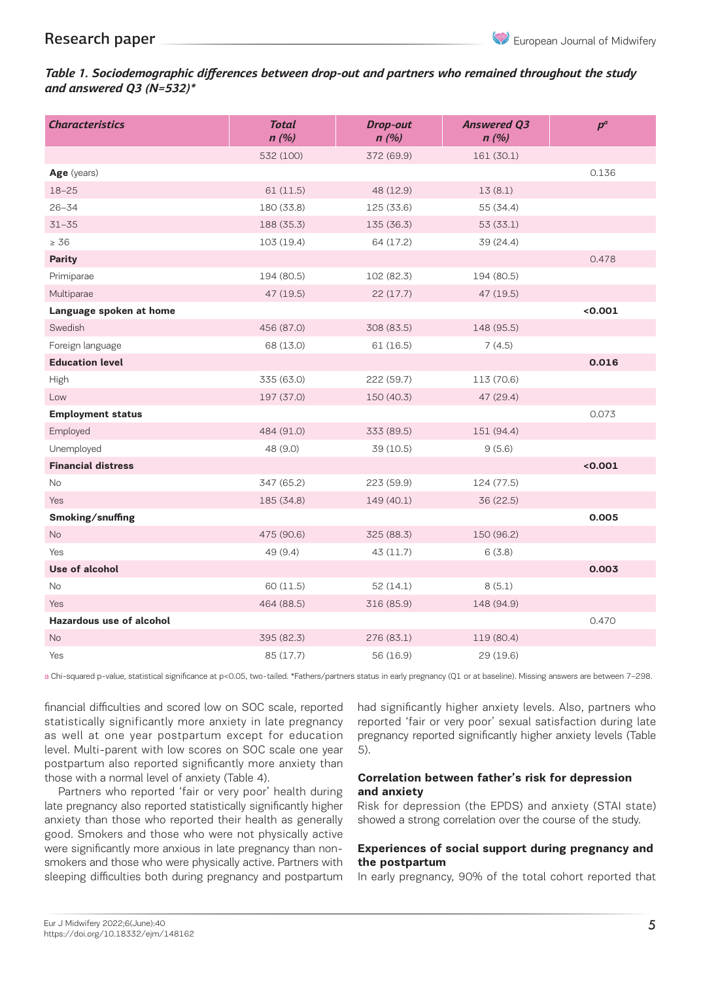## *Table 1. Sociodemographic differences between drop-out and partners who remained throughout the study and answered Q3 (N=532)\**

| <b>Characteristics</b>          | <b>Total</b><br>n(%) | <b>Drop-out</b><br>n(%) | <b>Answered Q3</b><br>n(%) | $p^a$   |
|---------------------------------|----------------------|-------------------------|----------------------------|---------|
|                                 | 532 (100)            | 372 (69.9)              | 161 (30.1)                 |         |
| Age (years)                     |                      |                         |                            | 0.136   |
| $18 - 25$                       | 61 (11.5)            | 48 (12.9)               | 13(8.1)                    |         |
| $26 - 34$                       | 180 (33.8)           | 125 (33.6)              | 55 (34.4)                  |         |
| $31 - 35$                       | 188 (35.3)           | 135 (36.3)              | 53 (33.1)                  |         |
| $\geq 36$                       | 103 (19.4)           | 64 (17.2)               | 39 (24.4)                  |         |
| <b>Parity</b>                   |                      |                         |                            | 0.478   |
| Primiparae                      | 194 (80.5)           | 102 (82.3)              | 194 (80.5)                 |         |
| Multiparae                      | 47 (19.5)            | 22(17.7)                | 47 (19.5)                  |         |
| Language spoken at home         |                      |                         |                            | < 0.001 |
| Swedish                         | 456 (87.0)           | 308 (83.5)              | 148 (95.5)                 |         |
| Foreign language                | 68 (13.0)            | 61(16.5)                | 7(4.5)                     |         |
| <b>Education level</b>          |                      |                         |                            | 0.016   |
| High                            | 335 (63.0)           | 222 (59.7)              | 113 (70.6)                 |         |
| Low                             | 197 (37.0)           | 150 (40.3)              | 47 (29.4)                  |         |
| <b>Employment status</b>        |                      |                         |                            | 0.073   |
| Employed                        | 484 (91.0)           | 333 (89.5)              | 151 (94.4)                 |         |
| Unemployed                      | 48 (9.0)             | 39 (10.5)               | 9(5.6)                     |         |
| <b>Financial distress</b>       |                      |                         |                            | < 0.001 |
| <b>No</b>                       | 347 (65.2)           | 223 (59.9)              | 124 (77.5)                 |         |
| Yes                             | 185 (34.8)           | 149 (40.1)              | 36 (22.5)                  |         |
| Smoking/snuffing                |                      |                         |                            | 0.005   |
| <b>No</b>                       | 475 (90.6)           | 325 (88.3)              | 150 (96.2)                 |         |
| Yes                             | 49 (9.4)             | 43(11.7)                | 6(3.8)                     |         |
| Use of alcohol                  |                      |                         |                            | 0.003   |
| No                              | 60 (11.5)            | 52(14.1)                | 8(5.1)                     |         |
| Yes                             | 464 (88.5)           | 316 (85.9)              | 148 (94.9)                 |         |
| <b>Hazardous use of alcohol</b> |                      |                         |                            | 0.470   |
| <b>No</b>                       | 395 (82.3)           | 276 (83.1)              | 119 (80.4)                 |         |
| Yes                             | 85 (17.7)            | 56 (16.9)               | 29 (19.6)                  |         |

a Chi-squared p-value, statistical significance at p<0.05, two-tailed. \*Fathers/partners status in early pregnancy (Q1 or at baseline). Missing answers are between 7–298.

financial difficulties and scored low on SOC scale, reported statistically significantly more anxiety in late pregnancy as well at one year postpartum except for education level. Multi-parent with low scores on SOC scale one year postpartum also reported significantly more anxiety than those with a normal level of anxiety (Table 4).

Partners who reported 'fair or very poor' health during late pregnancy also reported statistically significantly higher anxiety than those who reported their health as generally good. Smokers and those who were not physically active were significantly more anxious in late pregnancy than nonsmokers and those who were physically active. Partners with sleeping difficulties both during pregnancy and postpartum

had significantly higher anxiety levels. Also, partners who reported 'fair or very poor' sexual satisfaction during late pregnancy reported significantly higher anxiety levels (Table 5).

#### **Correlation between father's risk for depression and anxiety**

Risk for depression (the EPDS) and anxiety (STAI state) showed a strong correlation over the course of the study.

### **Experiences of social support during pregnancy and the postpartum**

In early pregnancy, 90% of the total cohort reported that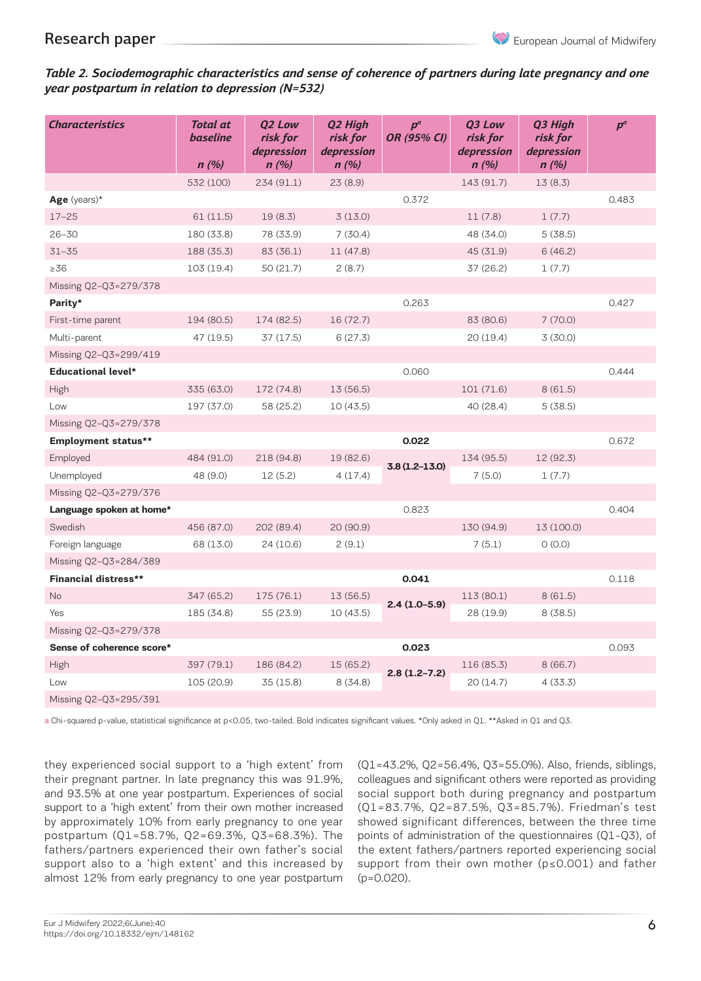### *Table 2. Sociodemographic characteristics and sense of coherence of partners during late pregnancy and one year postpartum in relation to depression (N=532)*

| <b>Characteristics</b>      | <b>Total at</b><br><b>baseline</b><br>n(%) | <b>02 Low</b><br>risk for<br>depression<br>n(%) | Q2 High<br>risk for<br>depression<br>n(%) | $p^a$<br><b>OR (95% CI)</b> | <b>03 Low</b><br>risk for<br>depression<br>n(%) | Q3 High<br>risk for<br>depression<br>n(%) | $p^a$ |
|-----------------------------|--------------------------------------------|-------------------------------------------------|-------------------------------------------|-----------------------------|-------------------------------------------------|-------------------------------------------|-------|
|                             | 532 (100)                                  | 234(91.1)                                       | 23(8.9)                                   |                             | 143 (91.7)                                      | 13(8.3)                                   |       |
| Age (years)*                |                                            |                                                 |                                           | 0.372                       |                                                 |                                           | 0.483 |
| $17 - 25$                   | 61(11.5)                                   | 19(8.3)                                         | 3(13.0)                                   |                             | 11(7.8)                                         | 1(7.7)                                    |       |
| $26 - 30$                   | 180 (33.8)                                 | 78 (33.9)                                       | 7(30.4)                                   |                             | 48 (34.0)                                       | 5(38.5)                                   |       |
| $31 - 35$                   | 188 (35.3)                                 | 83 (36.1)                                       | 11 (47.8)                                 |                             | 45 (31.9)                                       | 6(46.2)                                   |       |
| $\geq 36$                   | 103(19.4)                                  | 50(21.7)                                        | 2(8.7)                                    |                             | 37 (26.2)                                       | 1(7.7)                                    |       |
| Missing Q2-Q3=279/378       |                                            |                                                 |                                           |                             |                                                 |                                           |       |
| Parity*                     |                                            |                                                 |                                           | 0.263                       |                                                 |                                           | 0.427 |
| First-time parent           | 194 (80.5)                                 | 174 (82.5)                                      | 16 (72.7)                                 |                             | 83 (80.6)                                       | 7(70.0)                                   |       |
| Multi-parent                | 47 (19.5)                                  | 37(17.5)                                        | 6(27.3)                                   |                             | 20 (19.4)                                       | 3(30.0)                                   |       |
| Missing Q2-Q3=299/419       |                                            |                                                 |                                           |                             |                                                 |                                           |       |
| <b>Educational level*</b>   |                                            |                                                 |                                           | 0.060                       |                                                 |                                           | 0.444 |
| High                        | 335 (63.0)                                 | 172 (74.8)                                      | 13 (56.5)                                 |                             | 101 (71.6)                                      | 8(61.5)                                   |       |
| Low                         | 197 (37.0)                                 | 58 (25.2)                                       | 10(43.5)                                  |                             | 40 (28.4)                                       | 5(38.5)                                   |       |
| Missing Q2-Q3=279/378       |                                            |                                                 |                                           |                             |                                                 |                                           |       |
| <b>Employment status**</b>  |                                            |                                                 |                                           | 0.022                       |                                                 |                                           | 0.672 |
| Employed                    | 484 (91.0)                                 | 218 (94.8)                                      | 19 (82.6)                                 |                             | 134 (95.5)                                      | 12 (92.3)                                 |       |
| Unemployed                  | 48 (9.0)                                   | 12(5.2)                                         | 4(17.4)                                   | $3.8(1.2 - 13.0)$           | 7(5.0)                                          | 1(7.7)                                    |       |
| Missing Q2-Q3=279/376       |                                            |                                                 |                                           |                             |                                                 |                                           |       |
| Language spoken at home*    |                                            |                                                 |                                           | 0.823                       |                                                 |                                           | 0.404 |
| Swedish                     | 456 (87.0)                                 | 202 (89.4)                                      | 20 (90.9)                                 |                             | 130 (94.9)                                      | 13 (100.0)                                |       |
| Foreign language            | 68 (13.0)                                  | 24 (10.6)                                       | 2(9.1)                                    |                             | 7(5.1)                                          | O(0.0)                                    |       |
| Missing Q2-Q3=284/389       |                                            |                                                 |                                           |                             |                                                 |                                           |       |
| <b>Financial distress**</b> |                                            |                                                 |                                           | 0.041                       |                                                 |                                           | 0.118 |
| <b>No</b>                   | 347 (65.2)                                 | 175 (76.1)                                      | 13 (56.5)                                 | $2.4(1.0-5.9)$              | 113 (80.1)                                      | 8(61.5)                                   |       |
| Yes                         | 185 (34.8)                                 | 55 (23.9)                                       | 10(43.5)                                  |                             | 28 (19.9)                                       | 8(38.5)                                   |       |
| Missing Q2-Q3=279/378       |                                            |                                                 |                                           |                             |                                                 |                                           |       |
| Sense of coherence score*   |                                            |                                                 |                                           | 0.023                       |                                                 |                                           | 0.093 |
| High                        | 397 (79.1)                                 | 186 (84.2)                                      | 15 (65.2)                                 | $2.8(1.2 - 7.2)$            | 116 (85.3)                                      | 8(66.7)                                   |       |
| Low                         | 105 (20.9)                                 | 35 (15.8)                                       | 8(34.8)                                   |                             | 20 (14.7)                                       | 4(33.3)                                   |       |
| Missing Q2-Q3=295/391       |                                            |                                                 |                                           |                             |                                                 |                                           |       |

a Chi-squared p-value, statistical significance at p<0.05, two-tailed. Bold indicates significant values. \*Only asked in Q1. \*\*Asked in Q1 and Q3.

they experienced social support to a 'high extent' from their pregnant partner. In late pregnancy this was 91.9%, and 93.5% at one year postpartum. Experiences of social support to a 'high extent' from their own mother increased by approximately 10% from early pregnancy to one year postpartum (Q1=58.7%, Q2=69.3%, Q3=68.3%). The fathers/partners experienced their own father's social support also to a 'high extent' and this increased by almost 12% from early pregnancy to one year postpartum (Q1=43.2%, Q2=56.4%, Q3=55.0%). Also, friends, siblings, colleagues and significant others were reported as providing social support both during pregnancy and postpartum (Q1=83.7%, Q2=87.5%, Q3=85.7%). Friedman's test showed significant differences, between the three time points of administration of the questionnaires (Q1-Q3), of the extent fathers/partners reported experiencing social support from their own mother (p≤0.001) and father (p=0.020).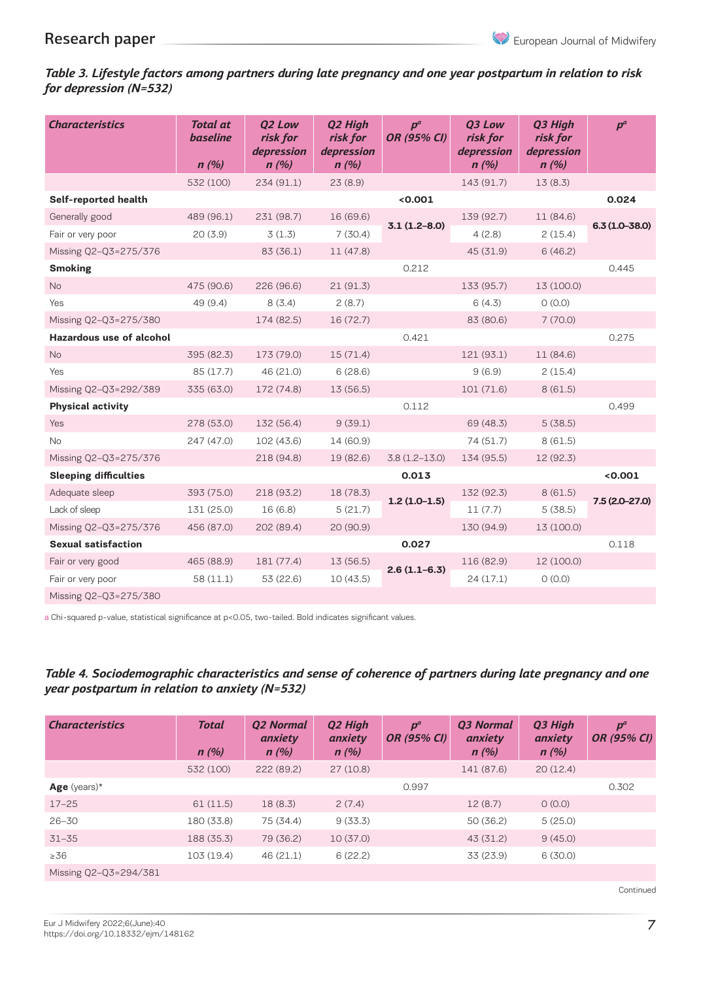## *Table 3. Lifestyle factors among partners during late pregnancy and one year postpartum in relation to risk for depression (N=532)*

| <b>Characteristics</b>          | <b>Total at</b><br><b>baseline</b><br>n(%) | <b>02 Low</b><br>risk for<br>depression<br>n(%) | Q2 High<br>risk for<br>depression<br>n(%) | $D^a$<br>OR (95% CI) | <b>03 Low</b><br>risk for<br>depression<br>n(%) | Q3 High<br>risk for<br>depression<br>n(%) | $p^a$             |
|---------------------------------|--------------------------------------------|-------------------------------------------------|-------------------------------------------|----------------------|-------------------------------------------------|-------------------------------------------|-------------------|
|                                 | 532 (100)                                  | 234(91.1)                                       | 23(8.9)                                   |                      | 143 (91.7)                                      | 13(8.3)                                   |                   |
| Self-reported health            |                                            |                                                 |                                           | 0.001                |                                                 |                                           | 0.024             |
| Generally good                  | 489 (96.1)                                 | 231 (98.7)                                      | 16 (69.6)                                 | $3.1(1.2 - 8.0)$     | 139 (92.7)                                      | 11 (84.6)                                 | $6.3(1.0 - 38.0)$ |
| Fair or very poor               | 20(3.9)                                    | 3(1.3)                                          | 7(30.4)                                   |                      | 4(2.8)                                          | 2(15.4)                                   |                   |
| Missing Q2-Q3=275/376           |                                            | 83 (36.1)                                       | 11(47.8)                                  |                      | 45 (31.9)                                       | 6(46.2)                                   |                   |
| <b>Smoking</b>                  |                                            |                                                 |                                           | 0.212                |                                                 |                                           | 0.445             |
| No                              | 475 (90.6)                                 | 226 (96.6)                                      | 21(91.3)                                  |                      | 133 (95.7)                                      | 13 (100.0)                                |                   |
| Yes                             | 49 (9.4)                                   | 8(3.4)                                          | 2(8.7)                                    |                      | 6(4.3)                                          | O(0.0)                                    |                   |
| Missing Q2-Q3=275/380           |                                            | 174 (82.5)                                      | 16(72.7)                                  |                      | 83 (80.6)                                       | 7(70.0)                                   |                   |
| <b>Hazardous use of alcohol</b> |                                            |                                                 |                                           | 0.421                |                                                 |                                           | 0.275             |
| <b>No</b>                       | 395 (82.3)                                 | 173 (79.0)                                      | 15(71.4)                                  |                      | 121 (93.1)                                      | 11 (84.6)                                 |                   |
| Yes                             | 85 (17.7)                                  | 46 (21.0)                                       | 6(28.6)                                   |                      | 9(6.9)                                          | 2(15.4)                                   |                   |
| Missing Q2-Q3=292/389           | 335 (63.0)                                 | 172 (74.8)                                      | 13 (56.5)                                 |                      | 101 (71.6)                                      | 8(61.5)                                   |                   |
| <b>Physical activity</b>        |                                            |                                                 |                                           | 0.112                |                                                 |                                           | 0.499             |
| Yes                             | 278 (53.0)                                 | 132 (56.4)                                      | 9(39.1)                                   |                      | 69 (48.3)                                       | 5(38.5)                                   |                   |
| <b>No</b>                       | 247 (47.0)                                 | 102 (43.6)                                      | 14 (60.9)                                 |                      | 74 (51.7)                                       | 8(61.5)                                   |                   |
| Missing Q2-Q3=275/376           |                                            | 218 (94.8)                                      | 19 (82.6)                                 | $3.8(1.2 - 13.0)$    | 134 (95.5)                                      | 12 (92.3)                                 |                   |
| <b>Sleeping difficulties</b>    |                                            |                                                 |                                           | 0.013                |                                                 |                                           | < 0.001           |
| Adequate sleep                  | 393 (75.0)                                 | 218 (93.2)                                      | 18 (78.3)                                 |                      | 132 (92.3)                                      | 8(61.5)                                   |                   |
| Lack of sleep                   | 131 (25.0)                                 | 16(6.8)                                         | 5(21.7)                                   | $1.2(1.0-1.5)$       | 11(7.7)                                         | 5(38.5)                                   | $7.5(2.0-27.0)$   |
| Missing Q2-Q3=275/376           | 456 (87.0)                                 | 202 (89.4)                                      | 20 (90.9)                                 |                      | 130 (94.9)                                      | 13 (100.0)                                |                   |
| <b>Sexual satisfaction</b>      |                                            |                                                 |                                           | 0.027                |                                                 |                                           | 0.118             |
| Fair or very good               | 465 (88.9)                                 | 181 (77.4)                                      | 13 (56.5)                                 |                      | 116 (82.9)                                      | 12 (100.0)                                |                   |
| Fair or very poor               | 58 (11.1)                                  | 53 (22.6)                                       | 10(43.5)                                  | $2.6(1.1-6.3)$       | 24(17.1)                                        | O(0.0)                                    |                   |
| Missing Q2-Q3=275/380           |                                            |                                                 |                                           |                      |                                                 |                                           |                   |

a Chi-squared p-value, statistical significance at p<0.05, two-tailed. Bold indicates significant values.

## *Table 4. Sociodemographic characteristics and sense of coherence of partners during late pregnancy and one year postpartum in relation to anxiety (N=532)*

| <b>Characteristics</b> | <b>Total</b><br>n(%) | <b>Q2 Normal</b><br>anxiety<br>n(%) | Q2 High<br>anxiety<br>n(%) | $p^a$<br><b>OR (95% CI)</b> | Q3 Normal<br>anxiety<br>n(%) | Q3 High<br>anxiety<br>n(%) | $p^a$<br><b>OR (95% CI)</b> |
|------------------------|----------------------|-------------------------------------|----------------------------|-----------------------------|------------------------------|----------------------------|-----------------------------|
|                        | 532 (100)            | 222 (89.2)                          | 27(10.8)                   |                             | 141 (87.6)                   | 20(12.4)                   |                             |
| Age (years) $*$        |                      |                                     |                            | 0.997                       |                              |                            | 0.302                       |
| $17 - 25$              | 61(11.5)             | 18(8.3)                             | 2(7.4)                     |                             | 12(8.7)                      | O(0.0)                     |                             |
| $26 - 30$              | 180 (33.8)           | 75 (34.4)                           | 9(33.3)                    |                             | 50(36.2)                     | 5(25.0)                    |                             |
| $31 - 35$              | 188 (35.3)           | 79 (36.2)                           | 10(37.0)                   |                             | 43 (31.2)                    | 9(45.0)                    |                             |
| $\geq 36$              | 103(19.4)            | 46(21.1)                            | 6(22.2)                    |                             | 33 (23.9)                    | 6(30.0)                    |                             |
| Missing Q2-Q3=294/381  |                      |                                     |                            |                             |                              |                            |                             |

Continued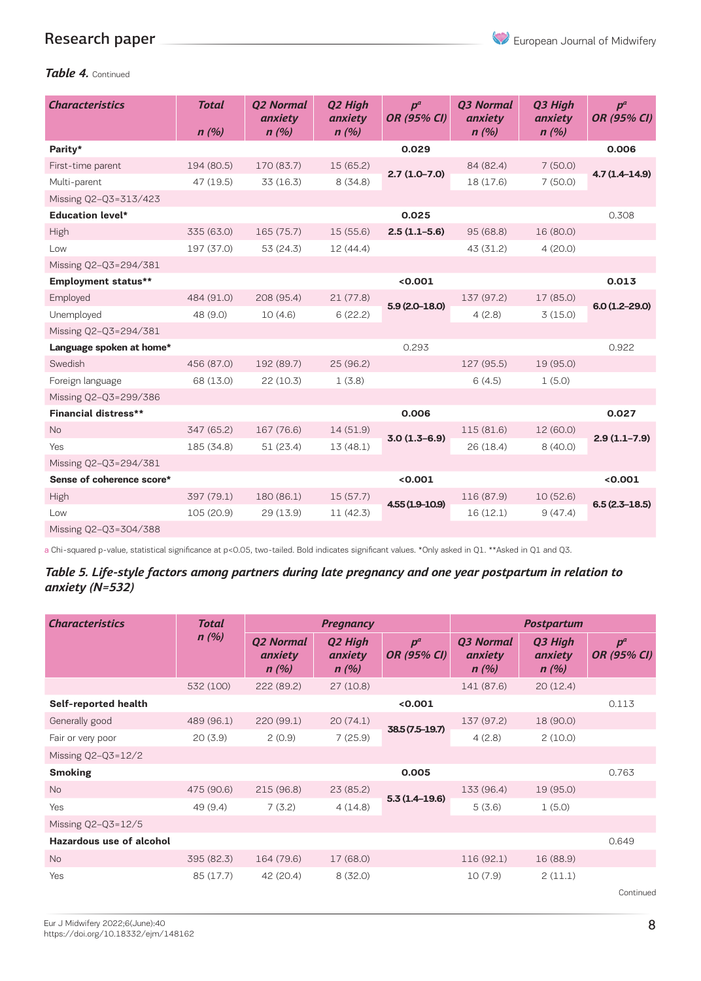

## *Table 4.* Continued

| <b>Characteristics</b>      | <b>Total</b><br>n(%) | <b>02 Normal</b><br>anxiety<br>n(%) | Q2 High<br>anxiety<br>n(%) | $D^a$<br>OR (95% CI) | <b>03 Normal</b><br>anxiety<br>n(%) | Q3 High<br>anxiety<br>n(%) | $p^a$<br><b>OR (95% CI)</b> |
|-----------------------------|----------------------|-------------------------------------|----------------------------|----------------------|-------------------------------------|----------------------------|-----------------------------|
| Parity*                     |                      |                                     |                            | 0.029                |                                     |                            | 0.006                       |
| First-time parent           | 194 (80.5)           | 170 (83.7)                          | 15 (65.2)                  | $2.7(1.0-7.0)$       | 84 (82.4)                           | 7(50.0)                    | $4.7(1.4 - 14.9)$           |
| Multi-parent                | 47 (19.5)            | 33(16.3)                            | 8(34.8)                    |                      | 18 (17.6)                           | 7(50.0)                    |                             |
| Missing Q2-Q3=313/423       |                      |                                     |                            |                      |                                     |                            |                             |
| <b>Education level*</b>     |                      |                                     |                            | 0.025                |                                     |                            | 0.308                       |
| High                        | 335 (63.0)           | 165 (75.7)                          | 15 (55.6)                  | $2.5(1.1-5.6)$       | 95 (68.8)                           | 16 (80.0)                  |                             |
| Low                         | 197 (37.0)           | 53 (24.3)                           | 12 (44.4)                  |                      | 43 (31.2)                           | 4(20.0)                    |                             |
| Missing Q2-Q3=294/381       |                      |                                     |                            |                      |                                     |                            |                             |
| <b>Employment status**</b>  |                      |                                     |                            | < 0.001              |                                     |                            | 0.013                       |
| Employed                    | 484 (91.0)           | 208 (95.4)                          | 21(77.8)                   | $5.9(2.0-18.0)$      | 137 (97.2)                          | 17 (85.0)                  | $6.0(1.2 - 29.0)$           |
| Unemployed                  | 48 (9.0)             | 10(4.6)                             | 6(22.2)                    |                      | 4(2.8)                              | 3(15.0)                    |                             |
| Missing Q2-Q3=294/381       |                      |                                     |                            |                      |                                     |                            |                             |
| Language spoken at home*    |                      |                                     |                            | 0.293                |                                     |                            | 0.922                       |
| Swedish                     | 456 (87.0)           | 192 (89.7)                          | 25(96.2)                   |                      | 127 (95.5)                          | 19 (95.0)                  |                             |
| Foreign language            | 68 (13.0)            | 22(10.3)                            | 1(3.8)                     |                      | 6(4.5)                              | 1(5.0)                     |                             |
| Missing Q2-Q3=299/386       |                      |                                     |                            |                      |                                     |                            |                             |
| <b>Financial distress**</b> |                      |                                     |                            | 0.006                |                                     |                            | 0.027                       |
| <b>No</b>                   | 347 (65.2)           | 167 (76.6)                          | 14(51.9)                   | $3.0(1.3-6.9)$       | 115 (81.6)                          | 12 (60.0)                  |                             |
| Yes                         | 185 (34.8)           | 51(23.4)                            | 13(48.1)                   |                      | 26(18.4)                            | 8(40.0)                    | $2.9(1.1-7.9)$              |
| Missing Q2-Q3=294/381       |                      |                                     |                            |                      |                                     |                            |                             |
| Sense of coherence score*   |                      |                                     |                            | < 0.001              |                                     |                            | < 0.001                     |
| High                        | 397 (79.1)           | 180 (86.1)                          | 15(57.7)                   | $4.55(1.9-10.9)$     | 116 (87.9)                          | 10(52.6)                   |                             |
| Low                         | 105 (20.9)           | 29(13.9)                            | 11(42.3)                   |                      | 16(12.1)                            | 9(47.4)                    | $6.5(2.3-18.5)$             |
| Missing Q2-Q3=304/388       |                      |                                     |                            |                      |                                     |                            |                             |

a Chi-squared p-value, statistical significance at p<0.05, two-tailed. Bold indicates significant values. \*Only asked in Q1. \*\*Asked in Q1 and Q3.

*Table 5. Life-style factors among partners during late pregnancy and one year postpartum in relation to anxiety (N=532)*

| <b>Characteristics</b>          | Total      | <b>Pregnancy</b>                    |                                        |                             | <b>Postpartum</b>                   |                            |                             |  |
|---------------------------------|------------|-------------------------------------|----------------------------------------|-----------------------------|-------------------------------------|----------------------------|-----------------------------|--|
|                                 | n(%)       | <b>Q2 Normal</b><br>anxiety<br>n(%) | Q <sub>2</sub> High<br>anxiety<br>n(%) | $p^a$<br><b>OR (95% CI)</b> | <b>03 Normal</b><br>anxiety<br>n(%) | Q3 High<br>anxiety<br>n(%) | $p^a$<br><b>OR (95% CI)</b> |  |
|                                 | 532 (100)  | 222 (89.2)                          | 27(10.8)                               |                             | 141 (87.6)                          | 20(12.4)                   |                             |  |
| Self-reported health            |            |                                     |                                        | < 0.001                     |                                     |                            | 0.113                       |  |
| Generally good                  | 489 (96.1) | 220 (99.1)                          | 20(74.1)                               |                             | 137 (97.2)                          | 18 (90.0)                  |                             |  |
| Fair or very poor               | 20(3.9)    | 2(0.9)                              | 7(25.9)                                | 38.5 (7.5-19.7)             | 4(2.8)                              | 2(10.0)                    |                             |  |
| Missing $Q2-Q3=12/2$            |            |                                     |                                        |                             |                                     |                            |                             |  |
| <b>Smoking</b>                  |            |                                     |                                        | 0.005                       |                                     |                            | 0.763                       |  |
| <b>No</b>                       | 475 (90.6) | 215(96.8)                           | 23(85.2)                               |                             | 133 (96.4)                          | 19 (95.0)                  |                             |  |
| Yes                             | 49(9.4)    | 7(3.2)                              | 4(14.8)                                | $5.3(1.4-19.6)$             | 5(3.6)                              | 1(5.0)                     |                             |  |
| Missing Q2-Q3=12/5              |            |                                     |                                        |                             |                                     |                            |                             |  |
| <b>Hazardous use of alcohol</b> |            |                                     |                                        |                             |                                     |                            | 0.649                       |  |
| <b>No</b>                       | 395 (82.3) | 164 (79.6)                          | 17 (68.0)                              |                             | 116 (92.1)                          | 16 (88.9)                  |                             |  |
| Yes                             | 85 (17.7)  | 42 (20.4)                           | 8(32.0)                                |                             | 10(7.9)                             | 2(11.1)                    |                             |  |
|                                 |            |                                     |                                        |                             |                                     |                            | Continued                   |  |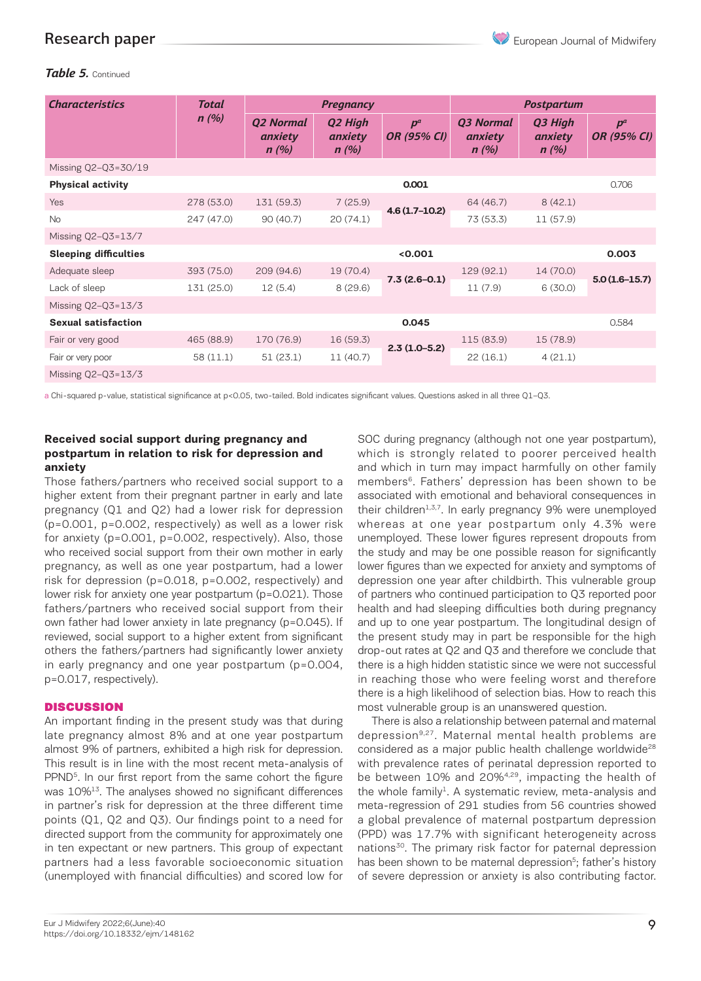European Journal of Midwifery

## Research paper

### *Table 5.* Continued

| <b>Characteristics</b>       | <b>Total</b> | <b>Pregnancy</b>                    |                            |                             | <b>Postpartum</b>                   |                            |                             |
|------------------------------|--------------|-------------------------------------|----------------------------|-----------------------------|-------------------------------------|----------------------------|-----------------------------|
|                              | n(%)         | <b>Q2 Normal</b><br>anxiety<br>n(%) | Q2 High<br>anxiety<br>n(%) | $p^a$<br><b>OR (95% CI)</b> | <b>Q3 Normal</b><br>anxiety<br>n(%) | Q3 High<br>anxiety<br>n(%) | $p^a$<br><b>OR (95% CI)</b> |
| Missing Q2-Q3=30/19          |              |                                     |                            |                             |                                     |                            |                             |
| <b>Physical activity</b>     |              |                                     |                            | 0.001                       |                                     |                            | 0.706                       |
| Yes                          | 278 (53.0)   | 131 (59.3)                          | 7(25.9)                    |                             | 64 (46.7)                           | 8(42.1)                    |                             |
| <b>No</b>                    | 247 (47.0)   | 90(40.7)                            | 20(74.1)                   | $4.6(1.7-10.2)$             | 73 (53.3)                           | 11 (57.9)                  |                             |
| Missing Q2-Q3=13/7           |              |                                     |                            |                             |                                     |                            |                             |
| <b>Sleeping difficulties</b> |              |                                     |                            | < 0.001                     |                                     |                            | 0.003                       |
| Adequate sleep               | 393 (75.0)   | 209 (94.6)                          | 19(70.4)                   | $7.3(2.6-0.1)$              | 129(92.1)                           | 14 (70.0)                  | $5.0(1.6-15.7)$             |
| Lack of sleep                | 131 (25.0)   | 12(5.4)                             | 8(29.6)                    |                             | 11(7.9)                             | 6(30.0)                    |                             |
| Missing $Q2-Q3=13/3$         |              |                                     |                            |                             |                                     |                            |                             |
| <b>Sexual satisfaction</b>   |              |                                     |                            | 0.045                       |                                     |                            | 0.584                       |
| Fair or very good            | 465 (88.9)   | 170 (76.9)                          | 16(59.3)                   |                             | 115 (83.9)                          | 15(78.9)                   |                             |
| Fair or very poor            | 58 (11.1)    | 51(23.1)                            | 11(40.7)                   | $2.3(1.0-5.2)$              | 22(16.1)                            | 4(21.1)                    |                             |
| Missing Q2-Q3=13/3           |              |                                     |                            |                             |                                     |                            |                             |

a Chi-squared p-value, statistical significance at p<0.05, two-tailed. Bold indicates significant values. Questions asked in all three Q1–Q3.

#### **Received social support during pregnancy and postpartum in relation to risk for depression and anxiety**

Those fathers/partners who received social support to a higher extent from their pregnant partner in early and late pregnancy (Q1 and Q2) had a lower risk for depression (p=0.001, p=0.002, respectively) as well as a lower risk for anxiety (p=0.001, p=0.002, respectively). Also, those who received social support from their own mother in early pregnancy, as well as one year postpartum, had a lower risk for depression (p=0.018, p=0.002, respectively) and lower risk for anxiety one year postpartum (p=0.021). Those fathers/partners who received social support from their own father had lower anxiety in late pregnancy (p=0.045). If reviewed, social support to a higher extent from significant others the fathers/partners had significantly lower anxiety in early pregnancy and one year postpartum (p=0.004, p=0.017, respectively).

#### **DISCUSSION**

An important finding in the present study was that during late pregnancy almost 8% and at one year postpartum almost 9% of partners, exhibited a high risk for depression. This result is in line with the most recent meta-analysis of PPND<sup>5</sup>. In our first report from the same cohort the figure was 10%<sup>13</sup>. The analyses showed no significant differences in partner's risk for depression at the three different time points (Q1, Q2 and Q3). Our findings point to a need for directed support from the community for approximately one in ten expectant or new partners. This group of expectant partners had a less favorable socioeconomic situation (unemployed with financial difficulties) and scored low for SOC during pregnancy (although not one year postpartum), which is strongly related to poorer perceived health and which in turn may impact harmfully on other family members<sup>6</sup>. Fathers' depression has been shown to be associated with emotional and behavioral consequences in their children<sup>1,3,7</sup>. In early pregnancy 9% were unemployed whereas at one year postpartum only 4.3% were unemployed. These lower figures represent dropouts from the study and may be one possible reason for significantly lower figures than we expected for anxiety and symptoms of depression one year after childbirth. This vulnerable group of partners who continued participation to Q3 reported poor health and had sleeping difficulties both during pregnancy and up to one year postpartum. The longitudinal design of the present study may in part be responsible for the high drop-out rates at Q2 and Q3 and therefore we conclude that there is a high hidden statistic since we were not successful in reaching those who were feeling worst and therefore there is a high likelihood of selection bias. How to reach this most vulnerable group is an unanswered question.

There is also a relationship between paternal and maternal depression<sup>9,27</sup>. Maternal mental health problems are considered as a major public health challenge worldwide<sup>28</sup> with prevalence rates of perinatal depression reported to be between 10% and 20%4,29, impacting the health of the whole family<sup>1</sup>. A systematic review, meta-analysis and meta-regression of 291 studies from 56 countries showed a global prevalence of maternal postpartum depression (PPD) was 17.7% with significant heterogeneity across nations<sup>30</sup>. The primary risk factor for paternal depression has been shown to be maternal depression<sup>5</sup>; father's history of severe depression or anxiety is also contributing factor.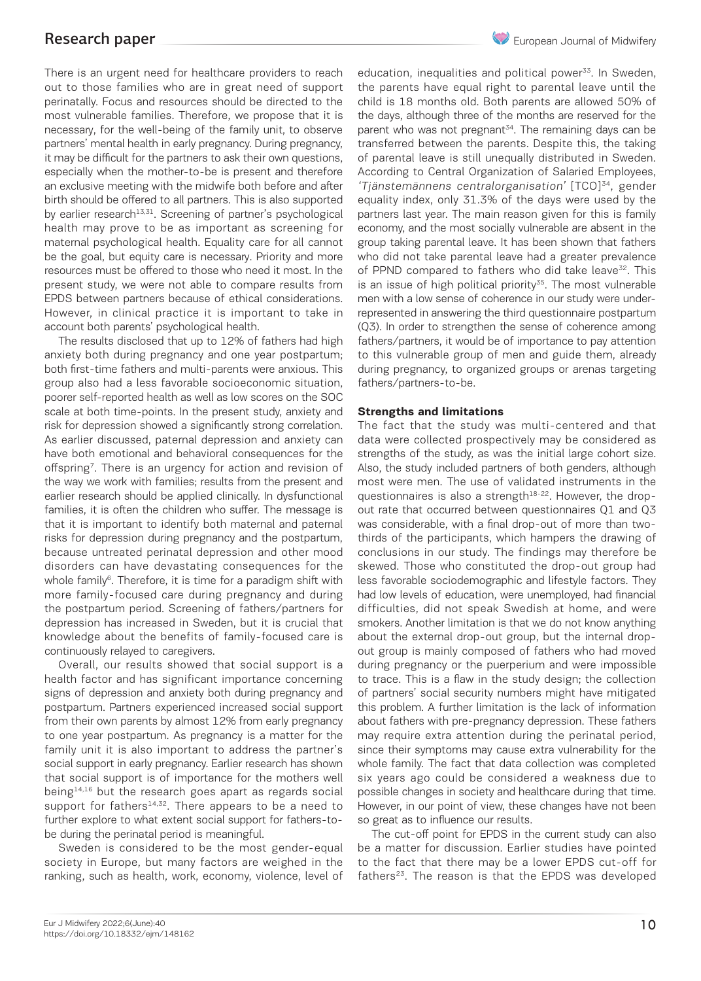There is an urgent need for healthcare providers to reach out to those families who are in great need of support perinatally. Focus and resources should be directed to the most vulnerable families. Therefore, we propose that it is necessary, for the well-being of the family unit, to observe partners' mental health in early pregnancy. During pregnancy, it may be difficult for the partners to ask their own questions, especially when the mother-to-be is present and therefore an exclusive meeting with the midwife both before and after birth should be offered to all partners. This is also supported by earlier research<sup>13,31</sup>. Screening of partner's psychological health may prove to be as important as screening for maternal psychological health. Equality care for all cannot be the goal, but equity care is necessary. Priority and more resources must be offered to those who need it most. In the present study, we were not able to compare results from EPDS between partners because of ethical considerations. However, in clinical practice it is important to take in account both parents' psychological health.

The results disclosed that up to 12% of fathers had high anxiety both during pregnancy and one year postpartum; both first-time fathers and multi-parents were anxious. This group also had a less favorable socioeconomic situation, poorer self-reported health as well as low scores on the SOC scale at both time-points. In the present study, anxiety and risk for depression showed a significantly strong correlation. As earlier discussed, paternal depression and anxiety can have both emotional and behavioral consequences for the offspring<sup>7</sup>. There is an urgency for action and revision of the way we work with families; results from the present and earlier research should be applied clinically. In dysfunctional families, it is often the children who suffer. The message is that it is important to identify both maternal and paternal risks for depression during pregnancy and the postpartum, because untreated perinatal depression and other mood disorders can have devastating consequences for the whole family $6$ . Therefore, it is time for a paradigm shift with more family-focused care during pregnancy and during the postpartum period. Screening of fathers/partners for depression has increased in Sweden, but it is crucial that knowledge about the benefits of family-focused care is continuously relayed to caregivers.

Overall, our results showed that social support is a health factor and has significant importance concerning signs of depression and anxiety both during pregnancy and postpartum. Partners experienced increased social support from their own parents by almost 12% from early pregnancy to one year postpartum. As pregnancy is a matter for the family unit it is also important to address the partner's social support in early pregnancy. Earlier research has shown that social support is of importance for the mothers well being<sup>14,16</sup> but the research goes apart as regards social support for fathers $14,32$ . There appears to be a need to further explore to what extent social support for fathers-tobe during the perinatal period is meaningful.

Sweden is considered to be the most gender-equal society in Europe, but many factors are weighed in the ranking, such as health, work, economy, violence, level of education, inequalities and political power $33$ . In Sweden, the parents have equal right to parental leave until the child is 18 months old. Both parents are allowed 50% of the days, although three of the months are reserved for the parent who was not pregnant $34$ . The remaining days can be transferred between the parents. Despite this, the taking of parental leave is still unequally distributed in Sweden. According to Central Organization of Salaried Employees, 'Tjänstemännens centralorganisation' [TCO]34, gender equality index, only 31.3% of the days were used by the partners last year. The main reason given for this is family economy, and the most socially vulnerable are absent in the group taking parental leave. It has been shown that fathers who did not take parental leave had a greater prevalence of PPND compared to fathers who did take leave<sup>32</sup>. This is an issue of high political priority $35$ . The most vulnerable men with a low sense of coherence in our study were underrepresented in answering the third questionnaire postpartum (Q3). In order to strengthen the sense of coherence among fathers/partners, it would be of importance to pay attention to this vulnerable group of men and guide them, already during pregnancy, to organized groups or arenas targeting fathers/partners-to-be.

#### **Strengths and limitations**

The fact that the study was multi-centered and that data were collected prospectively may be considered as strengths of the study, as was the initial large cohort size. Also, the study included partners of both genders, although most were men. The use of validated instruments in the questionnaires is also a strength<sup>18-22</sup>. However, the dropout rate that occurred between questionnaires Q1 and Q3 was considerable, with a final drop-out of more than twothirds of the participants, which hampers the drawing of conclusions in our study. The findings may therefore be skewed. Those who constituted the drop-out group had less favorable sociodemographic and lifestyle factors. They had low levels of education, were unemployed, had financial difficulties, did not speak Swedish at home, and were smokers. Another limitation is that we do not know anything about the external drop-out group, but the internal dropout group is mainly composed of fathers who had moved during pregnancy or the puerperium and were impossible to trace. This is a flaw in the study design; the collection of partners' social security numbers might have mitigated this problem. A further limitation is the lack of information about fathers with pre-pregnancy depression. These fathers may require extra attention during the perinatal period, since their symptoms may cause extra vulnerability for the whole family. The fact that data collection was completed six years ago could be considered a weakness due to possible changes in society and healthcare during that time. However, in our point of view, these changes have not been so great as to influence our results.

The cut-off point for EPDS in the current study can also be a matter for discussion. Earlier studies have pointed to the fact that there may be a lower EPDS cut-off for fathers<sup>23</sup>. The reason is that the EPDS was developed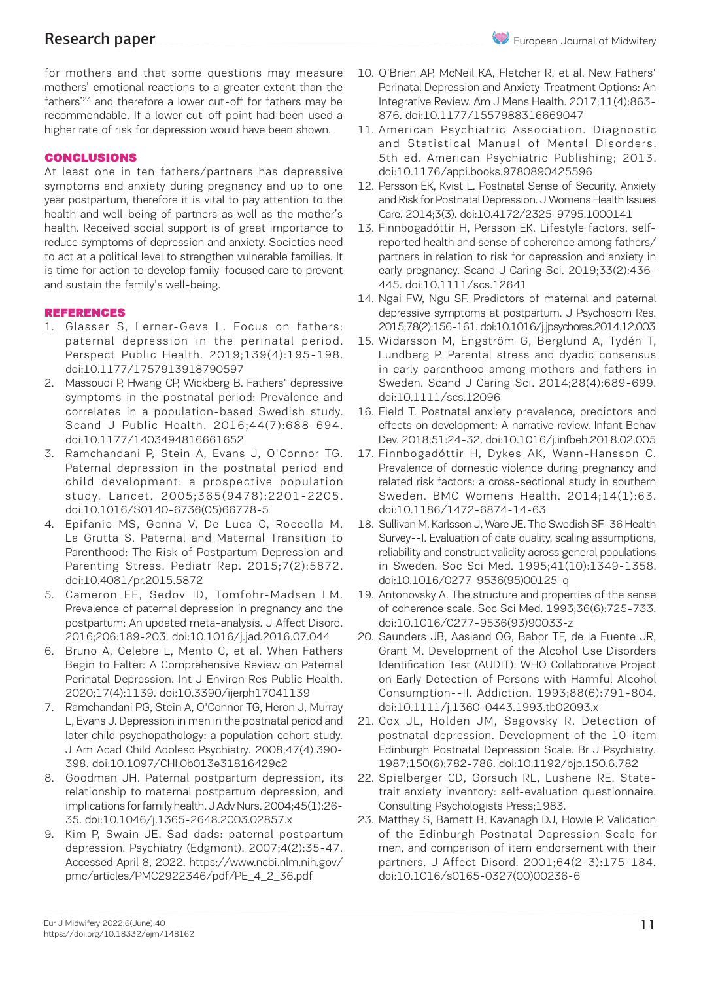for mothers and that some questions may measure mothers' emotional reactions to a greater extent than the fathers'23 and therefore a lower cut-off for fathers may be recommendable. If a lower cut-off point had been used a higher rate of risk for depression would have been shown.

### CONCLUSIONS

At least one in ten fathers/partners has depressive symptoms and anxiety during pregnancy and up to one year postpartum, therefore it is vital to pay attention to the health and well-being of partners as well as the mother's health. Received social support is of great importance to reduce symptoms of depression and anxiety. Societies need to act at a political level to strengthen vulnerable families. It is time for action to develop family-focused care to prevent and sustain the family's well-being.

#### REFERENCES

- 1. Glasser S, Lerner-Geva L. Focus on fathers: paternal depression in the perinatal period. Perspect Public Health. 2019;139(4):195-198. doi:10.1177/1757913918790597
- 2. Massoudi P, Hwang CP, Wickberg B. Fathers' depressive symptoms in the postnatal period: Prevalence and correlates in a population-based Swedish study. Scand J Public Health. 2016;44(7):688-694. doi:10.1177/1403494816661652
- 3. Ramchandani P, Stein A, Evans J, O'Connor TG. Paternal depression in the postnatal period and child development: a prospective population study. Lancet. 2005;365(9478):2201-2205. doi:10.1016/S0140-6736(05)66778-5
- 4. Epifanio MS, Genna V, De Luca C, Roccella M, La Grutta S. Paternal and Maternal Transition to Parenthood: The Risk of Postpartum Depression and Parenting Stress. Pediatr Rep. 2015;7(2):5872. doi:10.4081/pr.2015.5872
- 5. Cameron EE, Sedov ID, Tomfohr-Madsen LM. Prevalence of paternal depression in pregnancy and the postpartum: An updated meta-analysis. J Affect Disord. 2016;206:189-203. doi:10.1016/j.jad.2016.07.044
- 6. Bruno A, Celebre L, Mento C, et al. When Fathers Begin to Falter: A Comprehensive Review on Paternal Perinatal Depression. Int J Environ Res Public Health. 2020;17(4):1139. doi:10.3390/ijerph17041139
- 7. Ramchandani PG, Stein A, O'Connor TG, Heron J, Murray L, Evans J. Depression in men in the postnatal period and later child psychopathology: a population cohort study. J Am Acad Child Adolesc Psychiatry. 2008;47(4):390- 398. doi:10.1097/CHI.0b013e31816429c2
- 8. Goodman JH. Paternal postpartum depression, its relationship to maternal postpartum depression, and implications for family health. J Adv Nurs. 2004;45(1):26- 35. doi:10.1046/j.1365-2648.2003.02857.x
- 9. Kim P, Swain JE. Sad dads: paternal postpartum depression. Psychiatry (Edgmont). 2007;4(2):35-47. Accessed April 8, 2022. https://www.ncbi.nlm.nih.gov/ pmc/articles/PMC2922346/pdf/PE\_4\_2\_36.pdf
- 10. O'Brien AP, McNeil KA, Fletcher R, et al. New Fathers' Perinatal Depression and Anxiety-Treatment Options: An Integrative Review. Am J Mens Health. 2017;11(4):863- 876. doi:10.1177/1557988316669047
- 11. American Psychiatric Association. Diagnostic and Statistical Manual of Mental Disorders. 5th ed. American Psychiatric Publishing; 2013. doi:10.1176/appi.books.9780890425596
- 12. Persson EK, Kvist L. Postnatal Sense of Security, Anxiety and Risk for Postnatal Depression. J Womens Health Issues Care. 2014;3(3). doi:10.4172/2325-9795.1000141
- 13. Finnbogadóttir H, Persson EK. Lifestyle factors, selfreported health and sense of coherence among fathers/ partners in relation to risk for depression and anxiety in early pregnancy. Scand J Caring Sci. 2019;33(2):436- 445. doi:10.1111/scs.12641
- 14. Ngai FW, Ngu SF. Predictors of maternal and paternal depressive symptoms at postpartum. J Psychosom Res. 2015;78(2):156-161. doi:10.1016/j.jpsychores.2014.12.003
- 15. Widarsson M, Engström G, Berglund A, Tydén T, Lundberg P. Parental stress and dyadic consensus in early parenthood among mothers and fathers in Sweden. Scand J Caring Sci. 2014;28(4):689-699. doi:10.1111/scs.12096
- 16. Field T. Postnatal anxiety prevalence, predictors and effects on development: A narrative review. Infant Behav Dev. 2018;51:24-32. doi:10.1016/j.infbeh.2018.02.005
- 17. Finnbogadóttir H, Dykes AK, Wann-Hansson C. Prevalence of domestic violence during pregnancy and related risk factors: a cross-sectional study in southern Sweden. BMC Womens Health. 2014;14(1):63. doi:10.1186/1472-6874-14-63
- 18. Sullivan M, Karlsson J, Ware JE. The Swedish SF-36 Health Survey--I. Evaluation of data quality, scaling assumptions, reliability and construct validity across general populations in Sweden. Soc Sci Med. 1995;41(10):1349-1358. doi:10.1016/0277-9536(95)00125-q
- 19. Antonovsky A. The structure and properties of the sense of coherence scale. Soc Sci Med. 1993;36(6):725-733. doi:10.1016/0277-9536(93)90033-z
- 20. Saunders JB, Aasland OG, Babor TF, de la Fuente JR, Grant M. Development of the Alcohol Use Disorders Identification Test (AUDIT): WHO Collaborative Project on Early Detection of Persons with Harmful Alcohol Consumption--II. Addiction. 1993;88(6):791-804. doi:10.1111/j.1360-0443.1993.tb02093.x
- 21. Cox JL, Holden JM, Sagovsky R. Detection of postnatal depression. Development of the 10-item Edinburgh Postnatal Depression Scale. Br J Psychiatry. 1987;150(6):782-786. doi:10.1192/bjp.150.6.782
- 22. Spielberger CD, Gorsuch RL, Lushene RE. Statetrait anxiety inventory: self-evaluation questionnaire. Consulting Psychologists Press;1983.
- 23. Matthey S, Barnett B, Kavanagh DJ, Howie P. Validation of the Edinburgh Postnatal Depression Scale for men, and comparison of item endorsement with their partners. J Affect Disord. 2001;64(2-3):175-184. doi:10.1016/s0165-0327(00)00236-6